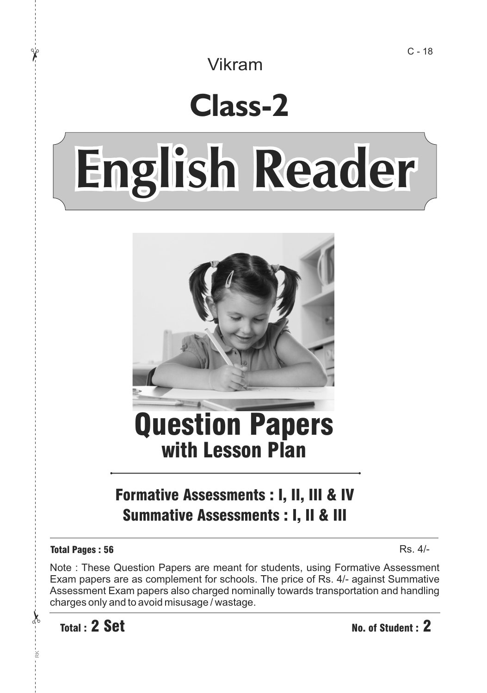# **Class-2 English Reader**



## Formative Assessments : I, II, III & IV Summative Assessments : I, II & III

#### Total Pages : 56

Rs. 4/-

Note : These Question Papers are meant for students, using Formative Assessment Exam papers are as complement for schools. The price of Rs. 4/- against Summative Assessment Exam papers also charged nominally towards transportation and handling charges only and to avoid misusage / wastage.

 $\lambda$ <sup>-</sup>

RK

 $\chi$ 

Total : 2 Set No. of Student : 2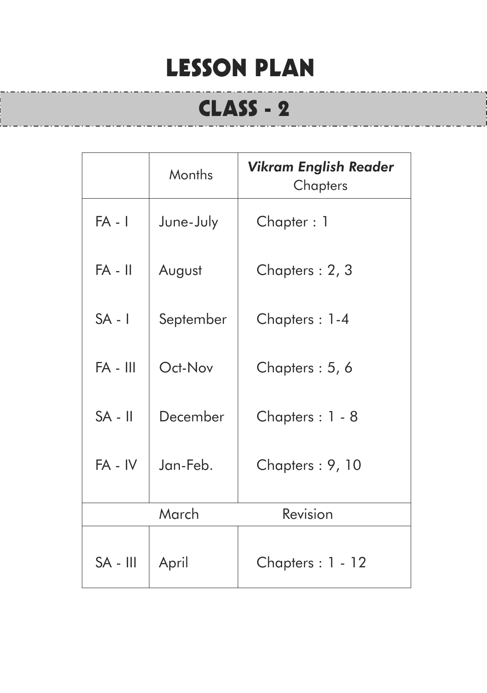## LESSON PLAN

## CLASS - 2

|            | Months    | <b>Vikram English Reader</b><br>Chapters |
|------------|-----------|------------------------------------------|
| $FA - I$   | June-July | Chapter: 1                               |
| $FA - II$  | August    | Chapters: 2, 3                           |
| $SA - I$   | September | Chapters: 1-4                            |
| $FA - III$ | Oct-Nov   | Chapters: 5, 6                           |
| $SA - II$  | December  | Chapters : 1 - 8                         |
| $FA - IV$  | Jan-Feb.  | Chapters: 9, 10                          |
|            | March     | Revision                                 |
| $SA - III$ | April     | Chapters : 1 - 12                        |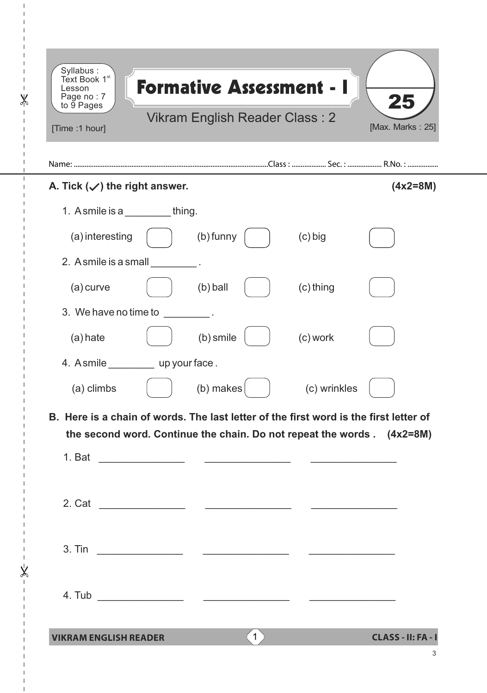| [Time :1 hour]                           | <b>Vikram English Reader Class: 2</b>                                                                                                                            |              | [Max. Marks: 25] |
|------------------------------------------|------------------------------------------------------------------------------------------------------------------------------------------------------------------|--------------|------------------|
|                                          |                                                                                                                                                                  |              |                  |
| A. Tick $(\checkmark)$ the right answer. |                                                                                                                                                                  |              | $(4x2=8M)$       |
| 1. Asmile is a thing.                    |                                                                                                                                                                  |              |                  |
| (a) interesting                          | (b) funny                                                                                                                                                        | $(c)$ big    |                  |
| 2. Asmile is a small                     |                                                                                                                                                                  |              |                  |
| $(a)$ curve                              | $(b)$ ball                                                                                                                                                       | (c) thing    |                  |
| 3. We have no time to                    |                                                                                                                                                                  |              |                  |
| $(a)$ hate                               | (b) smile                                                                                                                                                        | (c) work     |                  |
| 4. Asmile ____________ up your face.     |                                                                                                                                                                  |              |                  |
| (a) climbs                               | (b) makes                                                                                                                                                        | (c) wrinkles |                  |
|                                          | B. Here is a chain of words. The last letter of the first word is the first letter of<br>the second word. Continue the chain. Do not repeat the words . (4x2=8M) |              |                  |
|                                          |                                                                                                                                                                  |              |                  |
|                                          |                                                                                                                                                                  |              |                  |

J  $\overline{1}$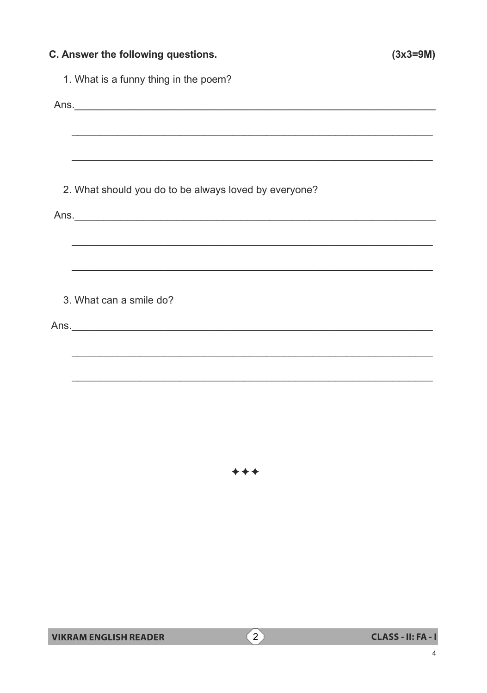| C. Answer the following questions.                          | $(3x3=9M)$ |
|-------------------------------------------------------------|------------|
| 1. What is a funny thing in the poem?                       |            |
|                                                             |            |
|                                                             |            |
| <u> 1989 - Johann Stoff, amerikansk politiker (d. 1989)</u> |            |
| 2. What should you do to be always loved by everyone?       |            |
|                                                             |            |
|                                                             |            |
|                                                             |            |
| 3. What can a smile do?                                     |            |
|                                                             |            |
|                                                             |            |
|                                                             |            |

 $***$ 

 $\overline{2}$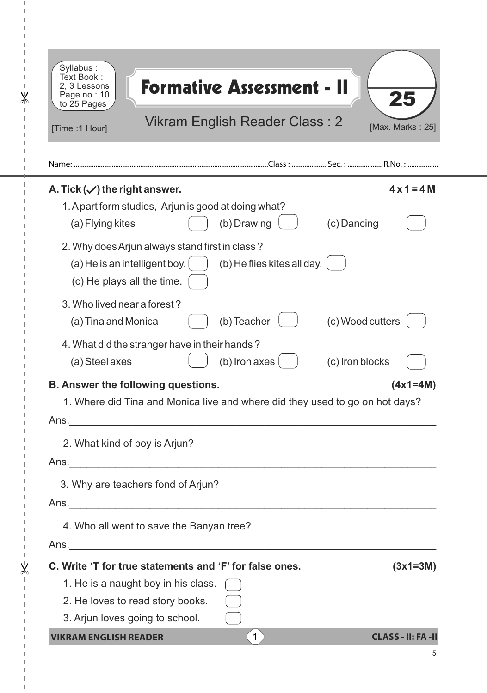| Syllabus:<br>Text Book:<br><b>Formative Assessment - II</b><br>2, 3 Lessons<br>Page no: 10<br>to 25 Pages                                    | 25                 |
|----------------------------------------------------------------------------------------------------------------------------------------------|--------------------|
| Vikram English Reader Class: 2<br>[Time : 1 Hour]                                                                                            | [Max. Marks: 25]   |
| Name:                                                                                                                                        |                    |
| A. Tick $(\checkmark)$ the right answer.                                                                                                     | $4 \times 1 = 4 M$ |
| 1. Apart form studies, Arjun is good at doing what?<br>(b) Drawing<br>(a) Flying kites                                                       | (c) Dancing        |
| 2. Why does Arjun always stand first in class?<br>(a) He is an intelligent boy.<br>(b) He flies kites all day.<br>(c) He plays all the time. |                    |
| 3. Who lived near a forest?<br>(b) Teacher<br>(a) Tina and Monica                                                                            | (c) Wood cutters   |
| 4. What did the stranger have in their hands?<br>(a) Steel axes<br>(b) Iron axes                                                             | (c) Iron blocks    |
| <b>B. Answer the following questions.</b><br>1. Where did Tina and Monica live and where did they used to go on hot days?<br>Ans.            | $(4x1=4M)$         |
| 2. What kind of boy is Arjun?                                                                                                                |                    |
| 3. Why are teachers fond of Arjun?                                                                                                           |                    |
| 4. Who all went to save the Banyan tree?                                                                                                     |                    |
| C. Write 'T for true statements and 'F' for false ones.                                                                                      | $(3x1=3M)$         |
| 1. He is a naught boy in his class.                                                                                                          |                    |
| 2. He loves to read story books.                                                                                                             |                    |
| 3. Arjun loves going to school.                                                                                                              |                    |

 $-\frac{1}{2}$ 

 $\mid$ 

- \* -

 $\overline{1}$ 

 $\overline{1}$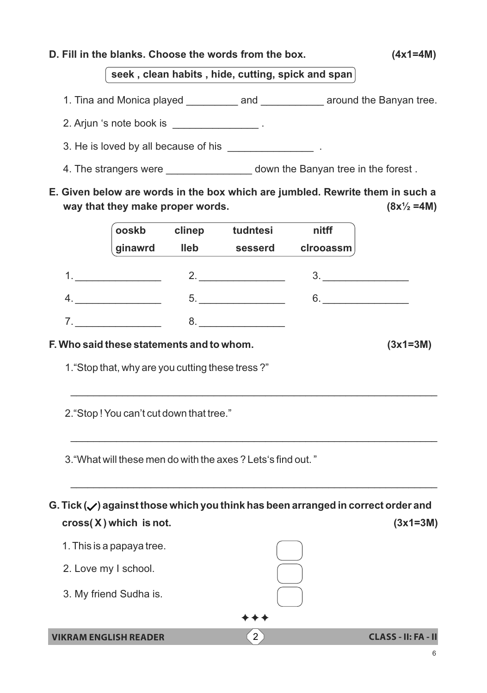|  |                                                  | D. Fill in the blanks. Choose the words from the box.                                                                                                                                                                                                                                                                                                                                                                                                                                         |                                                                               | $(4x1=4M)$                                                                                                |
|--|--------------------------------------------------|-----------------------------------------------------------------------------------------------------------------------------------------------------------------------------------------------------------------------------------------------------------------------------------------------------------------------------------------------------------------------------------------------------------------------------------------------------------------------------------------------|-------------------------------------------------------------------------------|-----------------------------------------------------------------------------------------------------------|
|  |                                                  | seek, clean habits, hide, cutting, spick and span                                                                                                                                                                                                                                                                                                                                                                                                                                             |                                                                               |                                                                                                           |
|  |                                                  |                                                                                                                                                                                                                                                                                                                                                                                                                                                                                               |                                                                               | 1. Tina and Monica played ____________ and _____________ around the Banyan tree.                          |
|  | 2. Arjun 's note book is ________________.       |                                                                                                                                                                                                                                                                                                                                                                                                                                                                                               |                                                                               |                                                                                                           |
|  |                                                  | 3. He is loved by all because of his _______________________.                                                                                                                                                                                                                                                                                                                                                                                                                                 |                                                                               |                                                                                                           |
|  |                                                  |                                                                                                                                                                                                                                                                                                                                                                                                                                                                                               | 4. The strangers were ___________________ down the Banyan tree in the forest. |                                                                                                           |
|  | way that they make proper words.                 |                                                                                                                                                                                                                                                                                                                                                                                                                                                                                               |                                                                               | E. Given below are words in the box which are jumbled. Rewrite them in such a<br>$(8x\frac{1}{2} = 4M)$   |
|  |                                                  | ooskb clinep tudntesi                                                                                                                                                                                                                                                                                                                                                                                                                                                                         | nitff                                                                         |                                                                                                           |
|  |                                                  | ginawrd lleb sesserd clrooassm                                                                                                                                                                                                                                                                                                                                                                                                                                                                |                                                                               |                                                                                                           |
|  |                                                  |                                                                                                                                                                                                                                                                                                                                                                                                                                                                                               |                                                                               |                                                                                                           |
|  | 4.                                               | $5. \underline{\hspace{2.0cm}5. \underline{\hspace{2.0cm}5. \underline{\hspace{2.0cm}5. \underline{\hspace{2.0cm}5. \underline{\hspace{2.0cm}5. \underline{\hspace{2.0cm}5. \underline{\hspace{2.0cm}5. \underline{\hspace{2.0cm}5. \underline{\hspace{2.0cm}5. \underline{\hspace{2.0cm}5. \underline{\hspace{2.0cm}5. \underline{\hspace{2.0cm}5. \underline{\hspace{2.0cm}5. \underline{\hspace{2.0cm}5. \underline{\hspace{2.0cm}5. \underline{\hspace{2.0cm}5. \underline{\hspace{2.0cm$ |                                                                               | $6.$                                                                                                      |
|  | <u>7. __________________</u>                     | $8. \underline{\hspace{2cm}}$                                                                                                                                                                                                                                                                                                                                                                                                                                                                 |                                                                               |                                                                                                           |
|  | F. Who said these statements and to whom.        |                                                                                                                                                                                                                                                                                                                                                                                                                                                                                               |                                                                               | $(3x1=3M)$                                                                                                |
|  | 1. "Stop that, why are you cutting these tress?" |                                                                                                                                                                                                                                                                                                                                                                                                                                                                                               |                                                                               |                                                                                                           |
|  |                                                  |                                                                                                                                                                                                                                                                                                                                                                                                                                                                                               |                                                                               |                                                                                                           |
|  | 2. "Stop! You can't cut down that tree."         |                                                                                                                                                                                                                                                                                                                                                                                                                                                                                               |                                                                               |                                                                                                           |
|  |                                                  |                                                                                                                                                                                                                                                                                                                                                                                                                                                                                               |                                                                               |                                                                                                           |
|  |                                                  | 3. "What will these men do with the axes? Lets's find out."                                                                                                                                                                                                                                                                                                                                                                                                                                   |                                                                               |                                                                                                           |
|  |                                                  |                                                                                                                                                                                                                                                                                                                                                                                                                                                                                               |                                                                               |                                                                                                           |
|  | $\csc(X)$ which is not.                          |                                                                                                                                                                                                                                                                                                                                                                                                                                                                                               |                                                                               | G. Tick $(\checkmark)$ against those which you think has been arranged in correct order and<br>$(3x1=3M)$ |
|  | 1. This is a papaya tree.                        |                                                                                                                                                                                                                                                                                                                                                                                                                                                                                               |                                                                               |                                                                                                           |
|  | 2. Love my I school.                             |                                                                                                                                                                                                                                                                                                                                                                                                                                                                                               |                                                                               |                                                                                                           |
|  | 3. My friend Sudha is.                           |                                                                                                                                                                                                                                                                                                                                                                                                                                                                                               |                                                                               |                                                                                                           |
|  |                                                  |                                                                                                                                                                                                                                                                                                                                                                                                                                                                                               |                                                                               |                                                                                                           |
|  | <b>VIKRAM ENGLISH READER</b>                     | $2^{1}$                                                                                                                                                                                                                                                                                                                                                                                                                                                                                       |                                                                               | <b>CLASS - II: FA - I</b>                                                                                 |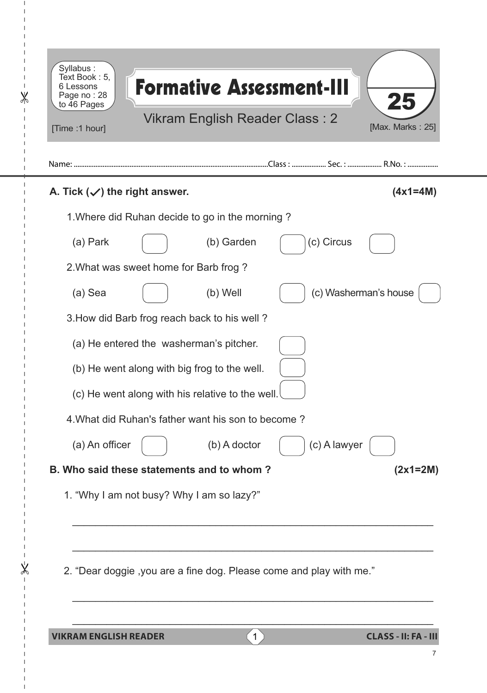| A. Tick $(\checkmark)$ the right answer. |                                         |                                                    |              | $(4x1=4M)$            |
|------------------------------------------|-----------------------------------------|----------------------------------------------------|--------------|-----------------------|
|                                          |                                         | 1. Where did Ruhan decide to go in the morning?    |              |                       |
| (a) Park                                 |                                         | (b) Garden                                         | (c) Circus   |                       |
|                                          | 2. What was sweet home for Barb frog?   |                                                    |              |                       |
| (a) Sea                                  |                                         | (b) Well                                           |              | (c) Washerman's house |
|                                          |                                         | 3. How did Barb frog reach back to his well?       |              |                       |
|                                          | (a) He entered the washerman's pitcher. |                                                    |              |                       |
|                                          |                                         | (b) He went along with big frog to the well.       |              |                       |
|                                          |                                         | (c) He went along with his relative to the well.   |              |                       |
|                                          |                                         | 4. What did Ruhan's father want his son to become? |              |                       |
| (a) An officer                           |                                         | (b) A doctor                                       | (c) A lawyer |                       |
|                                          |                                         | B. Who said these statements and to whom?          |              | $(2x1=2M)$            |
|                                          |                                         | 1. "Why I am not busy? Why I am so lazy?"          |              |                       |
|                                          |                                         |                                                    |              |                       |
|                                          |                                         |                                                    |              |                       |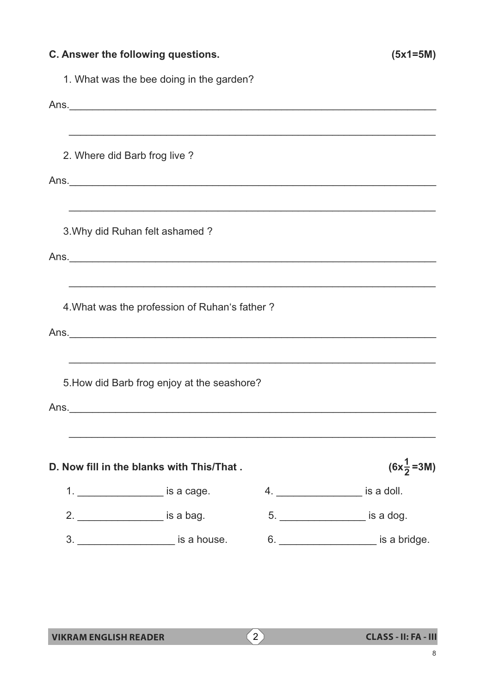| C. Answer the following questions.            |  | $(5x1=5M)$                                                                        |
|-----------------------------------------------|--|-----------------------------------------------------------------------------------|
| 1. What was the bee doing in the garden?      |  |                                                                                   |
|                                               |  |                                                                                   |
| 2. Where did Barb frog live?                  |  |                                                                                   |
|                                               |  |                                                                                   |
| 3. Why did Ruhan felt ashamed?                |  | ,我们也不能在这里的人,我们也不能在这里的人,我们也不能在这里的人,我们也不能在这里的人,我们也不能在这里的人,我们也不能在这里的人,我们也不能在这里的人,我们也 |
|                                               |  |                                                                                   |
| 4. What was the profession of Ruhan's father? |  |                                                                                   |
| 5. How did Barb frog enjoy at the seashore?   |  |                                                                                   |
|                                               |  |                                                                                   |
| D. Now fill in the blanks with This/That.     |  | $(6x\frac{1}{2} = 3M)$                                                            |
| 1. ____________________ is a cage.            |  | 4. _______________________ is a doll.                                             |
| 2. _____________________ is a bag.            |  | 5. _____________________ is a dog.                                                |
| 3. ______________________ is a house.         |  | 6. _______________________ is a bridge.                                           |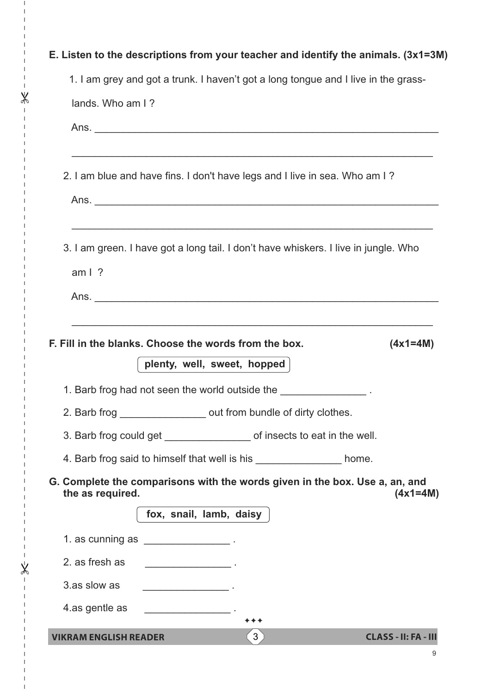|                                      | 1. I am grey and got a trunk. I haven't got a long tongue and I live in the grass-                                                    |
|--------------------------------------|---------------------------------------------------------------------------------------------------------------------------------------|
| lands. Who am I?                     |                                                                                                                                       |
|                                      |                                                                                                                                       |
|                                      | 2. I am blue and have fins. I don't have legs and I live in sea. Who am I?                                                            |
|                                      |                                                                                                                                       |
|                                      | 3. I am green. I have got a long tail. I don't have whiskers. I live in jungle. Who                                                   |
| $am 1$ ?                             |                                                                                                                                       |
|                                      |                                                                                                                                       |
|                                      | <u> 1989 - Johann Stoff, amerikansk politiker (d. 1989)</u>                                                                           |
|                                      |                                                                                                                                       |
|                                      | F. Fill in the blanks. Choose the words from the box.<br>plenty, well, sweet, hopped                                                  |
|                                      |                                                                                                                                       |
|                                      | 1. Barb frog had not seen the world outside the _______________.<br>2. Barb frog __________________ out from bundle of dirty clothes. |
|                                      | 3. Barb frog could get __________________ of insects to eat in the well.                                                              |
|                                      | 4. Barb frog said to himself that well is his ___________________ home.                                                               |
| the as required.                     | G. Complete the comparisons with the words given in the box. Use a, an, and                                                           |
|                                      | fox, snail, lamb, daisy                                                                                                               |
| 1. as cunning as __________________. |                                                                                                                                       |
| 2. as fresh as                       |                                                                                                                                       |
| 3.as slow as                         |                                                                                                                                       |
| 4.as gentle as                       | $(4x1=4M)$<br>$(4x1=4M)$<br>the control of the control of the con-<br>***                                                             |

 $- - -$ <br> $-\frac{1}{2}$ 

 $\overline{1}$ 

f,

f,

 $- - \frac{1}{2}$  - -

 $\bar{\rm I}$  $\bar{1}$  $\mathbf{I}$ Ï Ï Ť Ï J. f.

J.

f,

л

f,

J.

f,

I Ţ  $\mathbb I$  $\bar{1}$  $\bar{\bar{1}}$ 

Ť  $\mathbb{I}$  $\bar{1}$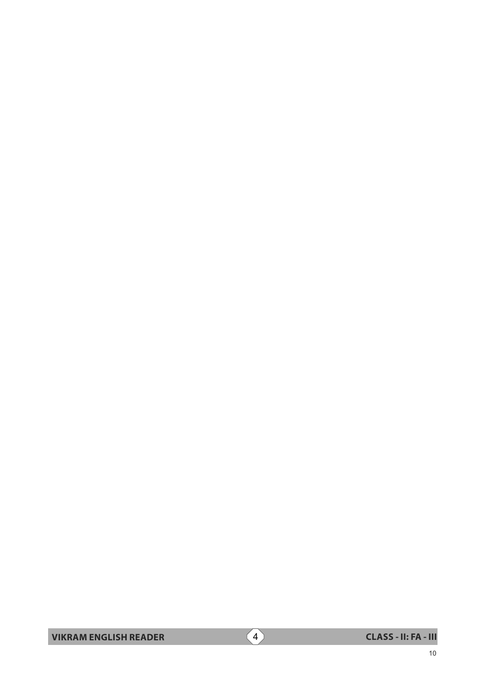#### **VIKRAM ENGLISH READER**

#### **CLASS - II: FA - III**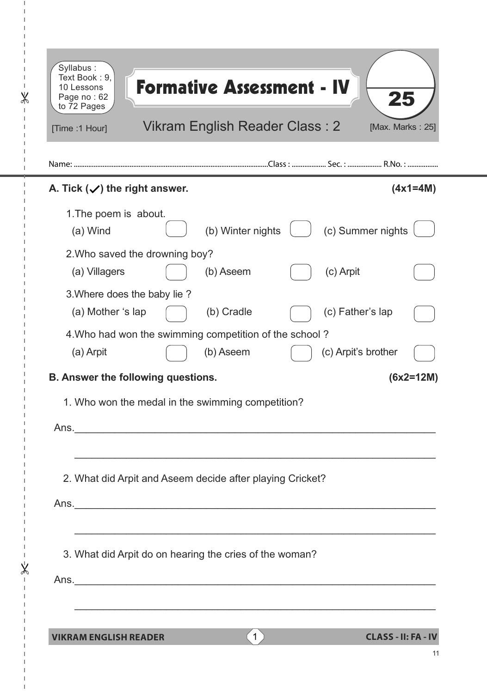| Name:                                     |                                |                                                                     |                     |             |
|-------------------------------------------|--------------------------------|---------------------------------------------------------------------|---------------------|-------------|
| A. Tick $(\checkmark)$ the right answer.  |                                |                                                                     |                     | $(4x1=4M)$  |
| 1. The poem is about.<br>(a) Wind         |                                | (b) Winter nights                                                   | (c) Summer nights   |             |
| (a) Villagers                             | 2. Who saved the drowning boy? | (b) Aseem                                                           | (c) Arpit           |             |
| (a) Mother 's lap                         | 3. Where does the baby lie?    | (b) Cradle                                                          | (c) Father's lap    |             |
| (a) Arpit                                 |                                | 4. Who had won the swimming competition of the school?<br>(b) Aseem | (c) Arpit's brother |             |
| <b>B. Answer the following questions.</b> |                                |                                                                     |                     | $(6x2=12M)$ |
|                                           |                                | 1. Who won the medal in the swimming competition?                   |                     |             |
|                                           |                                |                                                                     |                     |             |
|                                           |                                | 2. What did Arpit and Aseem decide after playing Cricket?           |                     |             |
|                                           |                                |                                                                     |                     |             |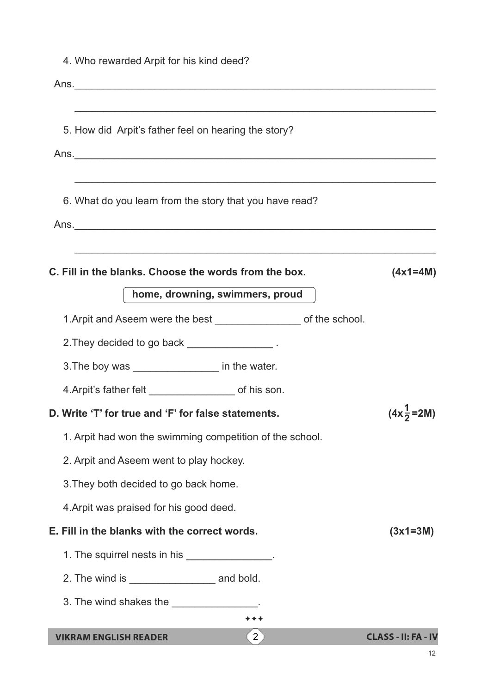| <b>VIKRAM ENGLISH READER</b>                                                     | $\left( 2\right)$               | <b>CLASS - II: FA - IV</b> |
|----------------------------------------------------------------------------------|---------------------------------|----------------------------|
|                                                                                  |                                 |                            |
| 3. The wind shakes the _______________.                                          |                                 |                            |
| 2. The wind is ________________________ and bold.                                |                                 |                            |
| 1. The squirrel nests in his ________________.                                   |                                 |                            |
| E. Fill in the blanks with the correct words.                                    |                                 | $(3x1=3M)$                 |
| 4. Arpit was praised for his good deed.                                          |                                 |                            |
| 3. They both decided to go back home.                                            |                                 |                            |
| 2. Arpit and Aseem went to play hockey.                                          |                                 |                            |
| 1. Arpit had won the swimming competition of the school.                         |                                 |                            |
| D. Write 'T' for true and 'F' for false statements.                              |                                 | $(4x\frac{1}{2} = 2M)$     |
| 4.Arpit's father felt ____________________ of his son.                           |                                 |                            |
| 3. The boy was __________________ in the water.                                  |                                 |                            |
| 2. They decided to go back _________________.                                    |                                 |                            |
| 1.Arpit and Aseem were the best ____________________ of the school.              |                                 |                            |
|                                                                                  | home, drowning, swimmers, proud |                            |
| C. Fill in the blanks. Choose the words from the box.                            |                                 | $(4x1=4M)$                 |
|                                                                                  |                                 |                            |
|                                                                                  |                                 |                            |
| 6. What do you learn from the story that you have read?                          |                                 |                            |
| ,我们也不能在这里的时候,我们也不能在这里的时候,我们也不能在这里的时候,我们也不能会在这里的时候,我们也不能会在这里的时候,我们也不能会在这里的时候,我们也不 |                                 |                            |
|                                                                                  |                                 |                            |
| 5. How did Arpit's father feel on hearing the story?                             |                                 |                            |
|                                                                                  |                                 |                            |
|                                                                                  |                                 |                            |
| 4. Who rewarded Arpit for his kind deed?                                         |                                 |                            |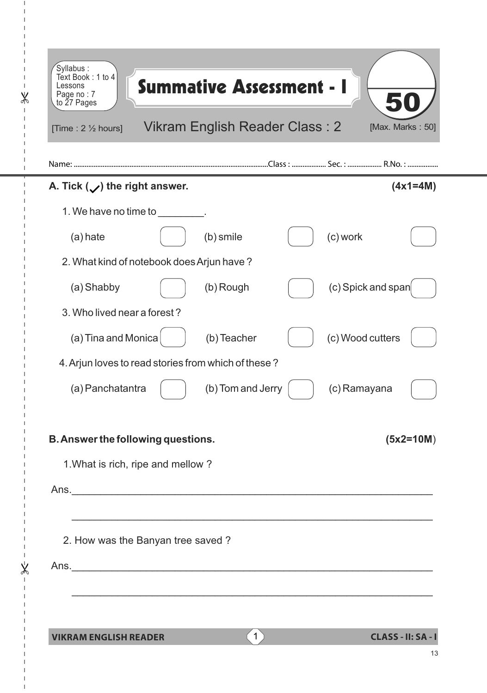| 1. We have no time to summer.<br>(b) smile |                                                                          |
|--------------------------------------------|--------------------------------------------------------------------------|
|                                            |                                                                          |
|                                            | (c) work                                                                 |
| 2. What kind of notebook does Arjun have?  |                                                                          |
| (b) Rough                                  | (c) Spick and span                                                       |
|                                            |                                                                          |
| (b) Teacher                                | (c) Wood cutters                                                         |
|                                            |                                                                          |
|                                            | (c) Ramayana                                                             |
| B. Answer the following questions.         | $(5x2=10M)$                                                              |
| 1. What is rich, ripe and mellow?          |                                                                          |
|                                            |                                                                          |
|                                            |                                                                          |
|                                            | 4. Arjun loves to read stories from which of these?<br>(b) Tom and Jerry |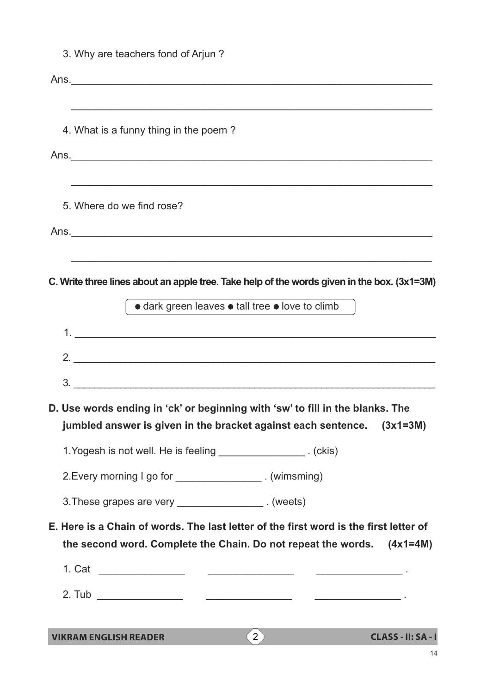| 3. Why are teachers fond of Arjun?                                                          |                    |
|---------------------------------------------------------------------------------------------|--------------------|
|                                                                                             |                    |
| 4. What is a funny thing in the poem?                                                       |                    |
|                                                                                             |                    |
| 5. Where do we find rose?                                                                   |                    |
|                                                                                             |                    |
| C. Write three lines about an apple tree. Take help of the words given in the box. (3x1=3M) |                    |
| • dark green leaves • tall tree • love to climb                                             |                    |
|                                                                                             |                    |
| 2.                                                                                          |                    |
|                                                                                             |                    |
| D. Use words ending in 'ck' or beginning with 'sw' to fill in the blanks. The               |                    |
| jumbled answer is given in the bracket against each sentence. (3x1=3M)                      |                    |
| 1. Yogesh is not well. He is feeling _________________. (ckis)                              |                    |
| 2. Every morning I go for ____________________. (wimsming)                                  |                    |
| 3. These grapes are very ___________________. (weets)                                       |                    |
| E. Here is a Chain of words. The last letter of the first word is the first letter of       |                    |
| the second word. Complete the Chain. Do not repeat the words. (4x1=4M)                      |                    |
|                                                                                             |                    |
|                                                                                             |                    |
| $\left( 2\right)$<br><b>VIKRAM ENGLISH READER</b>                                           | CLASS - II: SA - I |
|                                                                                             |                    |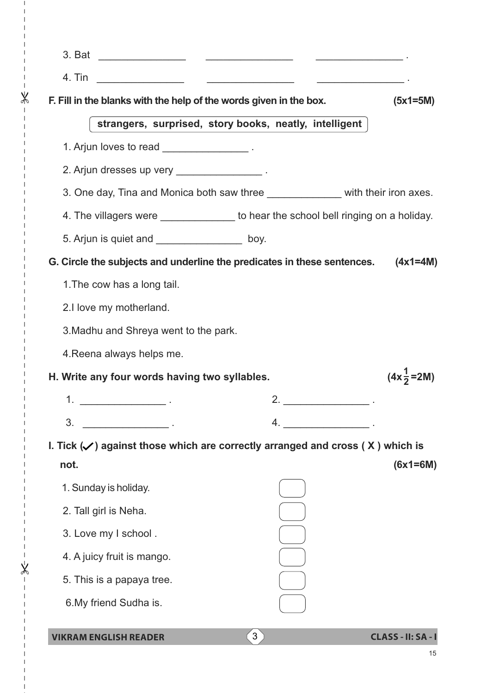| F. Fill in the blanks with the help of the words given in the box.                       |                                                        | $(5x1=5M)$             |
|------------------------------------------------------------------------------------------|--------------------------------------------------------|------------------------|
|                                                                                          | strangers, surprised, story books, neatly, intelligent |                        |
| 1. Arjun loves to read _________________.                                                |                                                        |                        |
| 2. Arjun dresses up very __________________.                                             |                                                        |                        |
| 3. One day, Tina and Monica both saw three ______________ with their iron axes.          |                                                        |                        |
| 4. The villagers were _______________ to hear the school bell ringing on a holiday.      |                                                        |                        |
| 5. Arjun is quiet and ___________________ boy.                                           |                                                        |                        |
| G. Circle the subjects and underline the predicates in these sentences. (4x1=4M)         |                                                        |                        |
| 1. The cow has a long tail.                                                              |                                                        |                        |
| 2.I love my motherland.                                                                  |                                                        |                        |
| 3. Madhu and Shreya went to the park.                                                    |                                                        |                        |
| 4. Reena always helps me.                                                                |                                                        |                        |
| H. Write any four words having two syllables.                                            |                                                        | $(4x\frac{1}{2} = 2M)$ |
|                                                                                          | 2. $\begin{array}{ccc} \hline \end{array}$             |                        |
| 3.                                                                                       | 4.                                                     |                        |
| I. Tick $(\checkmark)$ against those which are correctly arranged and cross (X) which is |                                                        |                        |
| not.                                                                                     |                                                        | $(6x1=6M)$             |
| 1. Sunday is holiday.                                                                    |                                                        |                        |
| 2. Tall girl is Neha.                                                                    |                                                        |                        |
| 3. Love my I school.                                                                     |                                                        |                        |
| 4. A juicy fruit is mango.                                                               |                                                        |                        |
| 5. This is a papaya tree.                                                                |                                                        |                        |
| 6. My friend Sudha is.                                                                   |                                                        |                        |
|                                                                                          |                                                        |                        |

 $x$ <sup>-</sup>

 $\mathbf{I}$ 

 $-36 -$ 

I.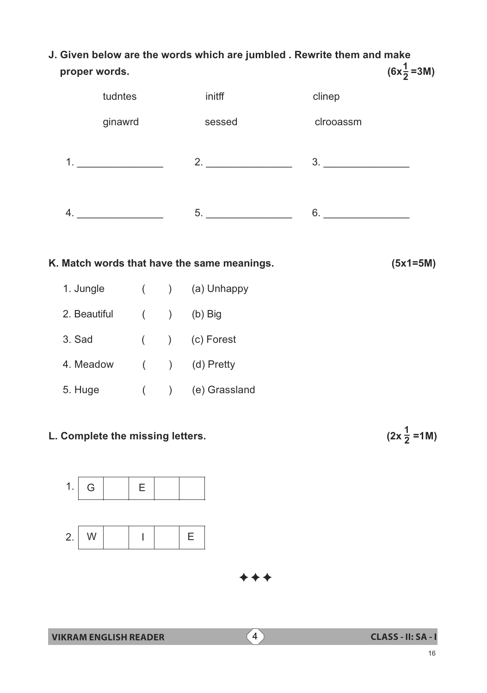**J. Given below are the words which are jumbled . Rewrite them and make**  proper words. **1 2**

|         | tudntes                 |                  | initff                                      | clinep                        |            |
|---------|-------------------------|------------------|---------------------------------------------|-------------------------------|------------|
|         | ginawrd                 |                  | sessed                                      | clrooassm                     |            |
|         | 1. ____________________ |                  |                                             |                               |            |
|         |                         |                  |                                             | $6. \underline{\hspace{2cm}}$ |            |
|         |                         |                  | K. Match words that have the same meanings. |                               | $(5x1=5M)$ |
|         |                         |                  | 1. Jungle ( ) (a) Unhappy                   |                               |            |
|         |                         |                  | 2. Beautiful ( ) (b) Big                    |                               |            |
|         | 3. Sad                  |                  | $($ ) (c) Forest                            |                               |            |
|         | 4. Meadow               |                  | $(d)$ Pretty                                |                               |            |
| 5. Huge |                         | $\overline{(\ }$ | (e) Grassland                               |                               |            |
|         |                         |                  |                                             |                               |            |

### **L. Complete the missing letters.**

$$
(2x\frac{1}{2} = 1M)
$$



 $\rightarrow$   $\rightarrow$ 

 $\left( 4\right)$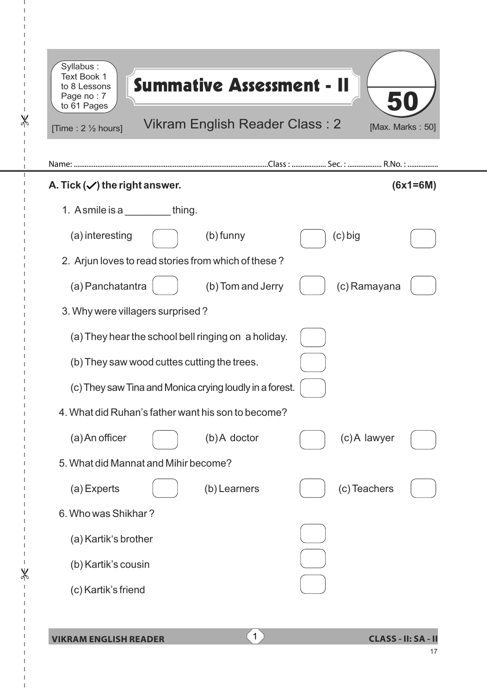| Syllabus:<br>Text Book 1<br><b>Summative Assessment - II</b><br>to 8 Lessons<br>Page no: 7<br>to 61 Pages<br>Vikram English Reader Class: 2<br>[Max. Marks: 50]<br>[Time : $2\frac{1}{2}$ hours] |
|--------------------------------------------------------------------------------------------------------------------------------------------------------------------------------------------------|
| Name:                                                                                                                                                                                            |
| A. Tick $(\checkmark)$ the right answer.<br>$(6x1=6M)$                                                                                                                                           |
| 1. Asmile is a _________thing.                                                                                                                                                                   |
| (a) interesting<br>(b) funny<br>$(c)$ big                                                                                                                                                        |
| 2. Arjun loves to read stories from which of these?                                                                                                                                              |
| (a) Panchatantra<br>(b) Tom and Jerry<br>(c) Ramayana                                                                                                                                            |
| 3. Why were villagers surprised?                                                                                                                                                                 |
| (a) They hear the school bell ringing on a holiday.                                                                                                                                              |
| (b) They saw wood cuttes cutting the trees.                                                                                                                                                      |
| (c) They saw Tina and Monica crying loudly in a forest.                                                                                                                                          |
| 4. What did Ruhan's father want his son to become?                                                                                                                                               |
| (a) An officer<br>$(b)$ A doctor<br>(c)A lawyer                                                                                                                                                  |
| 5. What did Mannat and Mihir become?                                                                                                                                                             |
| (c) Teachers<br>(b) Learners<br>(a) Experts                                                                                                                                                      |
| 6. Who was Shikhar?                                                                                                                                                                              |
| (a) Kartik's brother                                                                                                                                                                             |
| (b) Kartik's cousin                                                                                                                                                                              |
| (c) Kartik's friend                                                                                                                                                                              |
|                                                                                                                                                                                                  |
| $\mathbf{1}$<br>CLASS - II: SA - II<br><b>VIKRAM ENGLISH READER</b>                                                                                                                              |

17

- %-

J.

Ï

f,  $\mathbf{I}$  $\overline{1}$  $\mathbb{I}$ 

 $-\frac{1}{2}$ 

 $\overline{1}$  $\mathbb{L}$  $\mathbb{I}$ 

J.  $\overline{\phantom{a}}$  $\mathbf{I}$  $\mathbb{I}$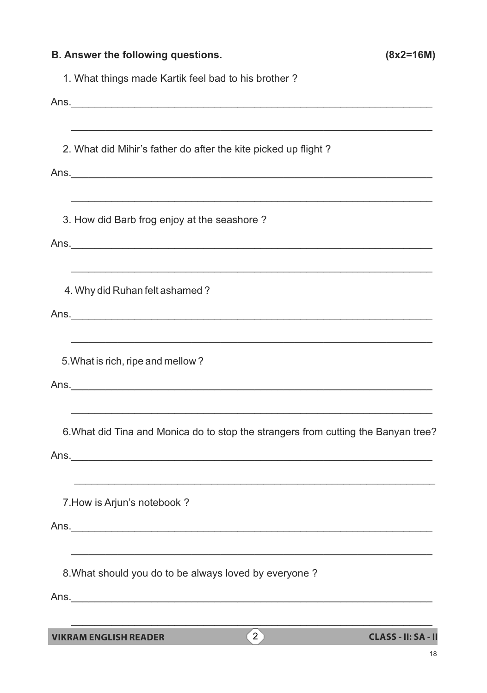| <b>B. Answer the following questions.</b>                      | $(8x2=16M)$                                                                                                                                                                                            |
|----------------------------------------------------------------|--------------------------------------------------------------------------------------------------------------------------------------------------------------------------------------------------------|
| 1. What things made Kartik feel bad to his brother?            |                                                                                                                                                                                                        |
|                                                                |                                                                                                                                                                                                        |
|                                                                |                                                                                                                                                                                                        |
| 2. What did Mihir's father do after the kite picked up flight? |                                                                                                                                                                                                        |
|                                                                |                                                                                                                                                                                                        |
|                                                                |                                                                                                                                                                                                        |
| 3. How did Barb frog enjoy at the seashore?                    |                                                                                                                                                                                                        |
|                                                                |                                                                                                                                                                                                        |
| 4. Why did Ruhan felt ashamed?                                 | ,我们也不能在这里的人,我们也不能在这里的人,我们也不能在这里的人,我们也不能在这里的人,我们也不能在这里的人,我们也不能在这里的人,我们也不能在这里的人,我们也                                                                                                                      |
|                                                                |                                                                                                                                                                                                        |
|                                                                |                                                                                                                                                                                                        |
| 5. What is rich, ripe and mellow?                              |                                                                                                                                                                                                        |
|                                                                |                                                                                                                                                                                                        |
|                                                                | and the control of the control of the control of the control of the control of the control of the control of the<br>6. What did Tina and Monica do to stop the strangers from cutting the Banyan tree? |
|                                                                |                                                                                                                                                                                                        |
| 7. How is Arjun's notebook?                                    | ,我们也不能在这里的人,我们也不能在这里的人,我们也不能在这里的人,我们也不能在这里的人,我们也不能在这里的人,我们也不能在这里的人,我们也不能在这里的人,我们也                                                                                                                      |
|                                                                |                                                                                                                                                                                                        |
|                                                                | <u> 1989 - Johann Barn, amerikan berkema dalam berkema dalam berkema dalam berkema dalam berkema dalam berkema da</u>                                                                                  |
| 8. What should you do to be always loved by everyone?          |                                                                                                                                                                                                        |
|                                                                |                                                                                                                                                                                                        |
| <b>VIKRAM ENGLISH READER</b>                                   | $2^{^{\circ}}$<br>CLASS - II: SA - II                                                                                                                                                                  |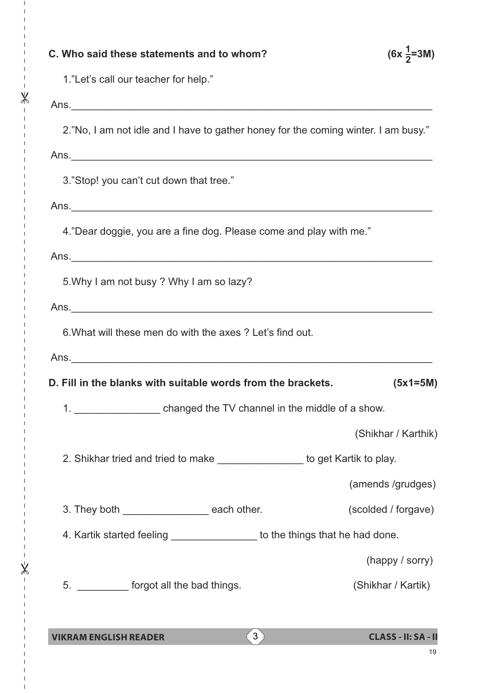| C. Who said these statements and to whom?                                          |                  | $(6x\frac{1}{2} = 3M)$     |
|------------------------------------------------------------------------------------|------------------|----------------------------|
| 1."Let's call our teacher for help."                                               |                  |                            |
|                                                                                    |                  |                            |
| 2. No, I am not idle and I have to gather honey for the coming winter. I am busy." |                  |                            |
|                                                                                    |                  |                            |
| 3."Stop! you can't cut down that tree."                                            |                  |                            |
|                                                                                    |                  |                            |
| 4. "Dear doggie, you are a fine dog. Please come and play with me."                |                  |                            |
|                                                                                    |                  |                            |
| 5. Why I am not busy? Why I am so lazy?                                            |                  |                            |
|                                                                                    |                  |                            |
| 6. What will these men do with the axes ? Let's find out.                          |                  |                            |
|                                                                                    |                  |                            |
| D. Fill in the blanks with suitable words from the brackets.                       |                  | $(5x1=5M)$                 |
| 1. _____________________ changed the TV channel in the middle of a show.           |                  |                            |
|                                                                                    |                  | (Shikhar / Karthik)        |
| 2. Shikhar tried and tried to make _________________ to get Kartik to play.        |                  |                            |
|                                                                                    |                  | (amends /grudges)          |
| 3. They both _______________________ each other.                                   |                  | (scolded / forgave)        |
| 4. Kartik started feeling _________________ to the things that he had done.        |                  |                            |
|                                                                                    |                  | (happy / sorry)            |
| 5. ____________ forgot all the bad things.                                         |                  | (Shikhar / Kartik)         |
| <b>VIKRAM ENGLISH READER</b>                                                       | $\left(3\right)$ | <b>CLASS - II: SA - II</b> |
|                                                                                    |                  |                            |

 $- - \frac{1}{2}$ 

 $- - \cancel{+} -$ 

 $\mathbb{I}$  $\overline{1}$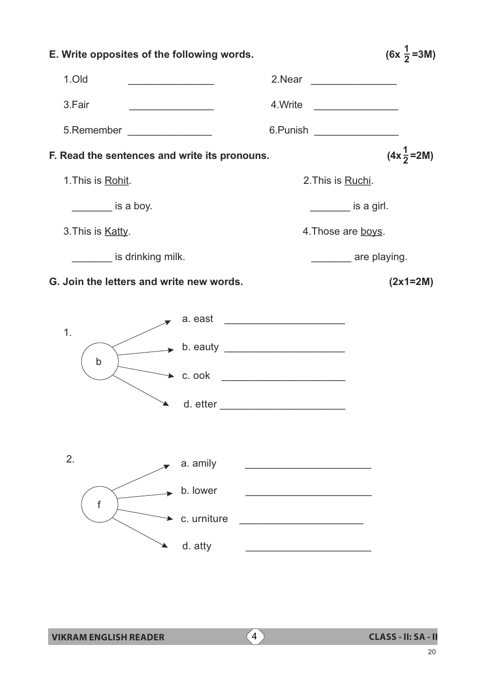| E. Write opposites of the following words.           |                                                                                                                                           |                                                           | $(6x \frac{1}{2} = 3M)$ |
|------------------------------------------------------|-------------------------------------------------------------------------------------------------------------------------------------------|-----------------------------------------------------------|-------------------------|
| 1.Old                                                | <u> 1990 - Johann Barbara, martxa a</u>                                                                                                   |                                                           |                         |
| 3.Fair<br><u> 1980 - Johann Barbara, martin a</u>    |                                                                                                                                           | 4. Write ____________________                             |                         |
| 5. Remember __________________                       |                                                                                                                                           | 6.Punish ____________________                             |                         |
| F. Read the sentences and write its pronouns.        |                                                                                                                                           |                                                           | $(4x\frac{1}{2} = 2M)$  |
| 1. This is Rohit.                                    |                                                                                                                                           | 2. This is Ruchi.                                         |                         |
| $\frac{1}{\sqrt{1-\frac{1}{2}}\cos\theta}$ is a boy. |                                                                                                                                           |                                                           | is a girl.              |
| 3. This is Katty.                                    |                                                                                                                                           |                                                           | 4. Those are boys.      |
| is drinking milk.                                    |                                                                                                                                           |                                                           | __________ are playing. |
| G. Join the letters and write new words.             |                                                                                                                                           |                                                           | $(2x1=2M)$              |
| 1.<br>$\mathsf b$<br>2.<br>f                         | b. eauty $\qquad \qquad$ b. eauty $\qquad \qquad$<br>d. etter _________________________<br>a. amily<br>b. lower<br>c. urniture<br>d. atty | <u> 1989 - Johann Barbara, martin amerikan personal (</u> |                         |
|                                                      |                                                                                                                                           |                                                           |                         |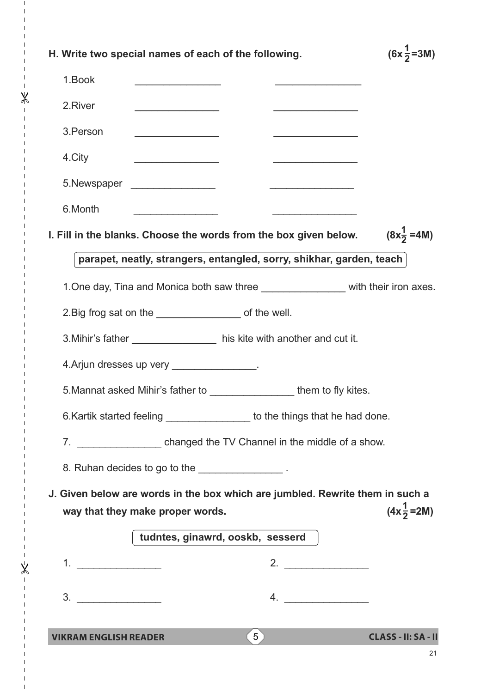| H. Write two special names of each of the following.                                                                                                                                                                                                                                                                                         | $(6x\frac{1}{2} = 3M)$     |
|----------------------------------------------------------------------------------------------------------------------------------------------------------------------------------------------------------------------------------------------------------------------------------------------------------------------------------------------|----------------------------|
| 1.Book                                                                                                                                                                                                                                                                                                                                       |                            |
| 2. River<br><u> 1989 - Johann Barbara, martin a</u><br><u> 1989 - Johann Barbara, martxa al-</u>                                                                                                                                                                                                                                             |                            |
| 3. Person<br><u> 1989 - Johann John Stone, mars et al. 1989 - John Stone, mars et al. 1989 - John Stone, mars et al. 1989 - John Stone</u>                                                                                                                                                                                                   |                            |
| 4. City                                                                                                                                                                                                                                                                                                                                      |                            |
| 5.Newspaper ________________                                                                                                                                                                                                                                                                                                                 |                            |
| 6.Month<br><u> 1989 - Johann Barbara, martin a</u>                                                                                                                                                                                                                                                                                           |                            |
| I. Fill in the blanks. Choose the words from the box given below.                                                                                                                                                                                                                                                                            | $(8x\frac{1}{2} = 4M)$     |
| parapet, neatly, strangers, entangled, sorry, shikhar, garden, teach                                                                                                                                                                                                                                                                         |                            |
| 1. One day, Tina and Monica both saw three ________________ with their iron axes.                                                                                                                                                                                                                                                            |                            |
| 2. Big frog sat on the ___________________ of the well.                                                                                                                                                                                                                                                                                      |                            |
| 3. Mihir's father _________________ his kite with another and cut it.                                                                                                                                                                                                                                                                        |                            |
| 4.Arjun dresses up very _________________.                                                                                                                                                                                                                                                                                                   |                            |
| 5. Mannat asked Mihir's father to ______________________ them to fly kites.                                                                                                                                                                                                                                                                  |                            |
| 6. Kartik started feeling _________________ to the things that he had done.                                                                                                                                                                                                                                                                  |                            |
| 7. _______________________ changed the TV Channel in the middle of a show.                                                                                                                                                                                                                                                                   |                            |
| 8. Ruhan decides to go to the ________________.                                                                                                                                                                                                                                                                                              |                            |
| J. Given below are words in the box which are jumbled. Rewrite them in such a                                                                                                                                                                                                                                                                |                            |
| way that they make proper words.                                                                                                                                                                                                                                                                                                             | $(4x\frac{1}{2} = 2M)$     |
| tudntes, ginawrd, ooskb, sesserd                                                                                                                                                                                                                                                                                                             |                            |
| 2. $\qquad \qquad$<br>1. $\frac{1}{2}$ $\frac{1}{2}$ $\frac{1}{2}$ $\frac{1}{2}$ $\frac{1}{2}$ $\frac{1}{2}$ $\frac{1}{2}$ $\frac{1}{2}$ $\frac{1}{2}$ $\frac{1}{2}$ $\frac{1}{2}$ $\frac{1}{2}$ $\frac{1}{2}$ $\frac{1}{2}$ $\frac{1}{2}$ $\frac{1}{2}$ $\frac{1}{2}$ $\frac{1}{2}$ $\frac{1}{2}$ $\frac{1}{2}$ $\frac{1}{2}$ $\frac{1}{2}$ |                            |
| 4.<br>3.                                                                                                                                                                                                                                                                                                                                     |                            |
|                                                                                                                                                                                                                                                                                                                                              |                            |
| 5 <sup>2</sup><br><b>VIKRAM ENGLISH READER</b>                                                                                                                                                                                                                                                                                               | <b>CLASS - II: SA - II</b> |

 $- - \frac{1}{2}$ 

 $-36 -$ 

 $\overline{1}$ Ï  $\overline{1}$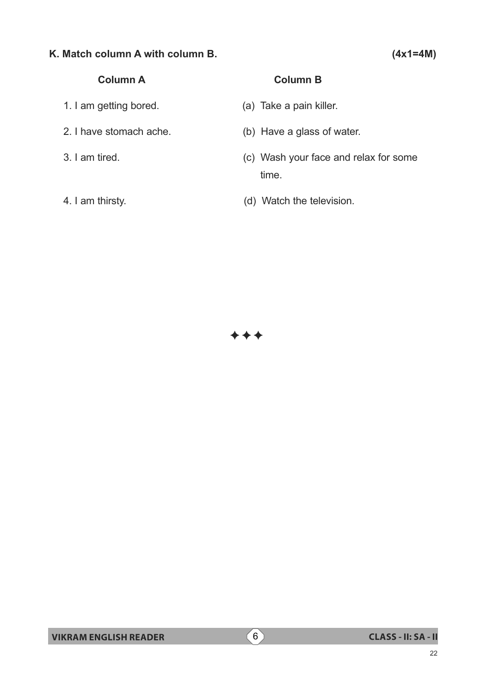#### **K. Match column A with column B. (4x1=4M)**

- 
- 
- 
- 

#### **Column A Column B**

- 1. I am getting bored. (a) Take a pain killer.
- 2. I have stomach ache. (b) Have a glass of water.
- 3. I am tired. (c) Wash your face and relax for some time.
- 4. I am thirsty. (d) Watch the television.

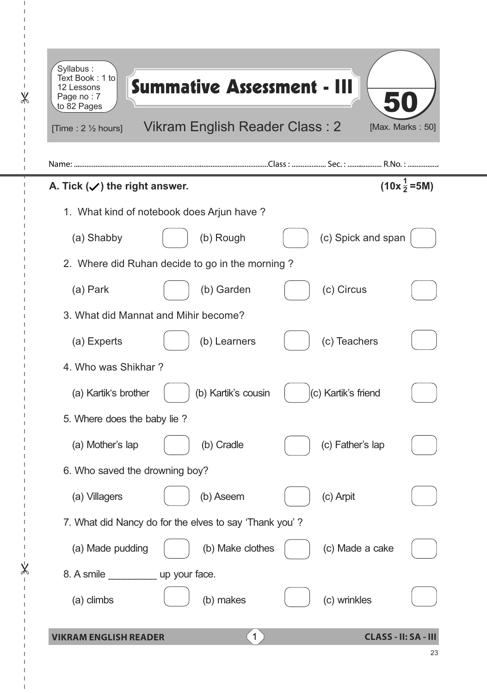| Syllabus:<br>Text Book: 1 to<br><b>Summative Assessment - III</b><br>12 Lessons<br>X<br>Page no: 7<br>to 82 Pages                                                                                                                                                                                                                                                                                                                                                                                  |
|----------------------------------------------------------------------------------------------------------------------------------------------------------------------------------------------------------------------------------------------------------------------------------------------------------------------------------------------------------------------------------------------------------------------------------------------------------------------------------------------------|
| Vikram English Reader Class: 2<br>[Max. Marks: 50]<br>[Time : 2 1/2 hours]                                                                                                                                                                                                                                                                                                                                                                                                                         |
| Name:                                                                                                                                                                                                                                                                                                                                                                                                                                                                                              |
| $(10x\frac{1}{2} = 5M)$<br>A. Tick $(\checkmark)$ the right answer.                                                                                                                                                                                                                                                                                                                                                                                                                                |
| 1. What kind of notebook does Arjun have?                                                                                                                                                                                                                                                                                                                                                                                                                                                          |
| (c) Spick and span<br>(b) Rough<br>(a) Shabby                                                                                                                                                                                                                                                                                                                                                                                                                                                      |
| 2. Where did Ruhan decide to go in the morning?                                                                                                                                                                                                                                                                                                                                                                                                                                                    |
| (b) Garden<br>(c) Circus<br>(a) Park                                                                                                                                                                                                                                                                                                                                                                                                                                                               |
| 3. What did Mannat and Mihir become?                                                                                                                                                                                                                                                                                                                                                                                                                                                               |
| (c) Teachers<br>(b) Learners<br>(a) Experts                                                                                                                                                                                                                                                                                                                                                                                                                                                        |
| 4. Who was Shikhar?                                                                                                                                                                                                                                                                                                                                                                                                                                                                                |
| (c) Kartik's friend<br>(b) Kartik's cousin<br>(a) Kartik's brother                                                                                                                                                                                                                                                                                                                                                                                                                                 |
| 5. Where does the baby lie?                                                                                                                                                                                                                                                                                                                                                                                                                                                                        |
| (b) Cradle<br>(c) Father's lap<br>(a) Mother's lap                                                                                                                                                                                                                                                                                                                                                                                                                                                 |
| 6. Who saved the drowning boy?                                                                                                                                                                                                                                                                                                                                                                                                                                                                     |
| (c) Arpit<br>(b) Aseem<br>(a) Villagers                                                                                                                                                                                                                                                                                                                                                                                                                                                            |
| 7. What did Nancy do for the elves to say 'Thank you'?                                                                                                                                                                                                                                                                                                                                                                                                                                             |
| (c) Made a cake<br>(b) Make clothes<br>(a) Made pudding                                                                                                                                                                                                                                                                                                                                                                                                                                            |
| $\mathsf{X}% _{T}=\mathsf{Y}_{T}\!\left( a,b\right) ,\mathsf{Y}_{T}=\mathsf{Y}_{T}\!\left( a,b\right) ,\mathsf{Y}_{T}=\mathsf{Y}_{T}\!\left( a,b\right) ,\mathsf{Y}_{T}=\mathsf{Y}_{T}\!\left( a,b\right) ,\mathsf{Y}_{T}=\mathsf{Y}_{T}\!\left( a,b\right) ,\mathsf{Y}_{T}=\mathsf{Y}_{T}\!\left( a,b\right) ,\mathsf{Y}_{T}=\mathsf{Y}_{T}\!\left( a,b\right) ,\mathsf{Y}_{T}=\mathsf{Y}_{T}\!\left( a,b\right) ,\mathsf{Y}_{T}=\mathsf{Y}_{T}\!\left$<br>8. A smile _____________ up your face. |
| (c) wrinkles<br>(a) climbs<br>(b) makes                                                                                                                                                                                                                                                                                                                                                                                                                                                            |
| <b>CLASS - II: SA - III</b><br><b>VIKRAM ENGLISH READER</b><br>$\mathbf{1}$                                                                                                                                                                                                                                                                                                                                                                                                                        |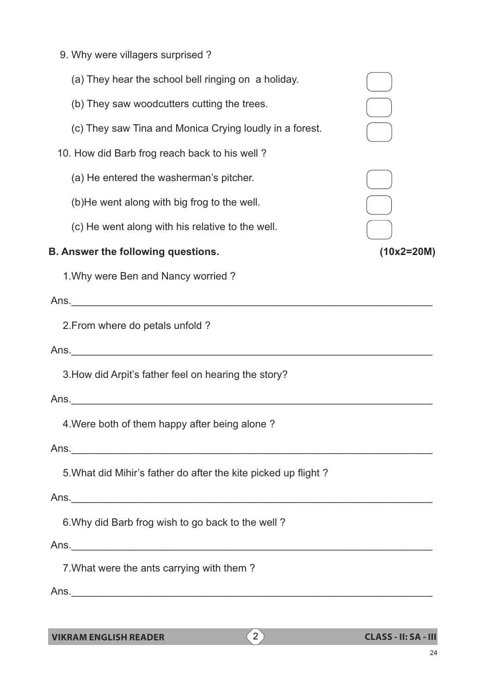9. Why were villagers surprised ?

| (a) They hear the school bell ringing on a holiday.            |              |
|----------------------------------------------------------------|--------------|
| (b) They saw woodcutters cutting the trees.                    |              |
| (c) They saw Tina and Monica Crying loudly in a forest.        |              |
| 10. How did Barb frog reach back to his well?                  |              |
| (a) He entered the washerman's pitcher.                        |              |
| (b) He went along with big frog to the well.                   |              |
| (c) He went along with his relative to the well.               |              |
| B. Answer the following questions.                             | $(10x2=20M)$ |
| 1. Why were Ben and Nancy worried?                             |              |
|                                                                |              |
| 2. From where do petals unfold?                                |              |
|                                                                |              |
| 3. How did Arpit's father feel on hearing the story?           |              |
|                                                                |              |
| 4. Were both of them happy after being alone?                  |              |
| Ans.                                                           |              |
| 5. What did Mihir's father do after the kite picked up flight? |              |
|                                                                |              |
| 6. Why did Barb frog wish to go back to the well?              |              |
|                                                                |              |
| 7. What were the ants carrying with them?                      |              |

**VIKRAM ENGLISH READER** 2 **CLASS - II: SA - III**

 $Ans.$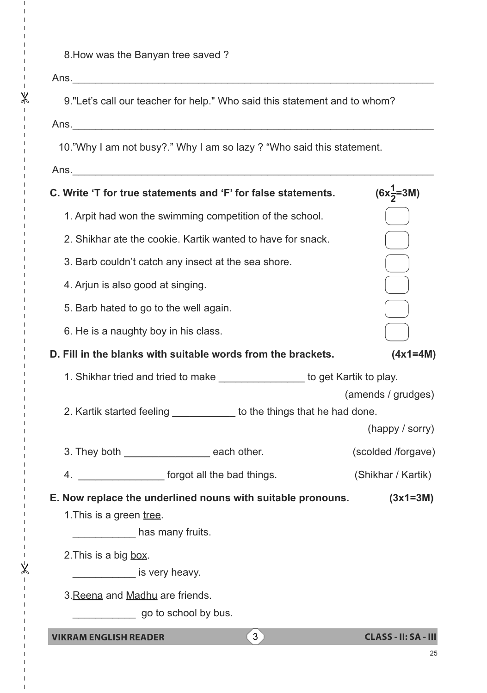| 8. How was the Banyan tree saved? |
|-----------------------------------|
|-----------------------------------|

 $-3/2$ 

 $\bar{\bar{1}}$ f,

Ť Ï  $\overline{\phantom{a}}$  $\bar{\bar{1}}$  $\begin{array}{c} \rule{0pt}{2ex} \rule{0pt}{2ex} \rule{0pt}{2ex} \rule{0pt}{2ex} \rule{0pt}{2ex} \rule{0pt}{2ex} \rule{0pt}{2ex} \rule{0pt}{2ex} \rule{0pt}{2ex} \rule{0pt}{2ex} \rule{0pt}{2ex} \rule{0pt}{2ex} \rule{0pt}{2ex} \rule{0pt}{2ex} \rule{0pt}{2ex} \rule{0pt}{2ex} \rule{0pt}{2ex} \rule{0pt}{2ex} \rule{0pt}{2ex} \rule{0pt}{2ex} \rule{0pt}{2ex} \rule{0pt}{2ex} \rule{0pt}{2ex} \rule{0pt}{$ 

 $-36 -$ 

 $\mathbf{I}$ Ţ  $\mathbf{I}$ 

f, Ï  $\bar{\rm I}$ 

|                          |                                                                     | 9. "Let's call our teacher for help." Who said this statement and to whom? |                        |
|--------------------------|---------------------------------------------------------------------|----------------------------------------------------------------------------|------------------------|
|                          |                                                                     |                                                                            |                        |
|                          |                                                                     | 10."Why I am not busy?." Why I am so lazy ? "Who said this statement.      |                        |
|                          |                                                                     |                                                                            |                        |
|                          |                                                                     | C. Write 'T for true statements and 'F' for false statements.              | $(6x\frac{1}{2} = 3M)$ |
|                          |                                                                     | 1. Arpit had won the swimming competition of the school.                   |                        |
|                          |                                                                     | 2. Shikhar ate the cookie. Kartik wanted to have for snack.                |                        |
|                          | 3. Barb couldn't catch any insect at the sea shore.                 |                                                                            |                        |
|                          | 4. Arjun is also good at singing.                                   |                                                                            |                        |
|                          | 5. Barb hated to go to the well again.                              |                                                                            |                        |
|                          | 6. He is a naughty boy in his class.                                |                                                                            |                        |
|                          |                                                                     | D. Fill in the blanks with suitable words from the brackets.               | $(4x1=4M)$             |
|                          |                                                                     | 1. Shikhar tried and tried to make ________________ to get Kartik to play. |                        |
|                          |                                                                     |                                                                            | (amends / grudges)     |
|                          |                                                                     | 2. Kartik started feeling ____________ to the things that he had done.     | (happy / sorry)        |
| 3. They both             |                                                                     | each other.                                                                | (scolded /forgave)     |
|                          | 4. <b>Constant Contract Constraining</b> forgot all the bad things. |                                                                            | (Shikhar / Kartik)     |
|                          |                                                                     | E. Now replace the underlined nouns with suitable pronouns.                | $(3x1=3M)$             |
| 1. This is a green tree. |                                                                     |                                                                            |                        |
|                          | has many fruits.                                                    |                                                                            |                        |
| 2. This is a big box.    |                                                                     |                                                                            |                        |
|                          | is very heavy.                                                      |                                                                            |                        |
|                          | 3. Reena and Madhu are friends.                                     |                                                                            |                        |
|                          | go to school by bus.                                                |                                                                            |                        |
|                          |                                                                     |                                                                            |                        |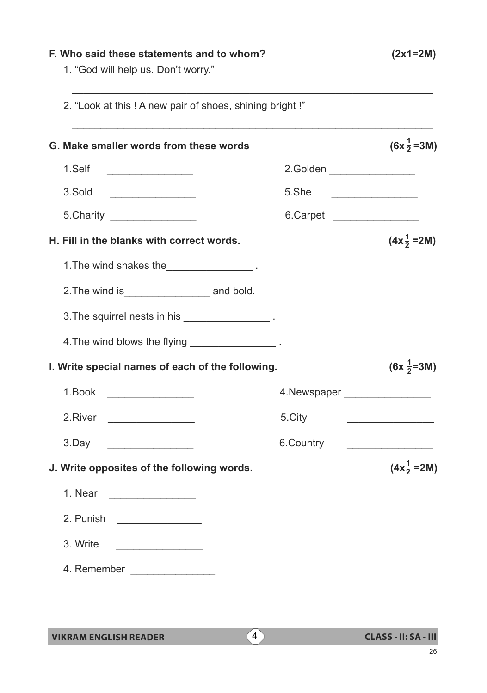| F. Who said these statements and to whom?<br>1. "God will help us. Don't worry."                                                                                                                                                                |                             | $(2x1=2M)$                                                                                                           |
|-------------------------------------------------------------------------------------------------------------------------------------------------------------------------------------------------------------------------------------------------|-----------------------------|----------------------------------------------------------------------------------------------------------------------|
| 2. "Look at this ! A new pair of shoes, shining bright !"                                                                                                                                                                                       |                             |                                                                                                                      |
| G. Make smaller words from these words                                                                                                                                                                                                          |                             | $(6x\frac{1}{2} = 3M)$                                                                                               |
| 1.Self                                                                                                                                                                                                                                          | 2.Golden __________________ |                                                                                                                      |
| 3.Sold                                                                                                                                                                                                                                          | 5.She                       |                                                                                                                      |
| 5.Charity __________________                                                                                                                                                                                                                    | 6.Carpet                    |                                                                                                                      |
| H. Fill in the blanks with correct words.                                                                                                                                                                                                       |                             | $(4x\frac{1}{2} = 2M)$                                                                                               |
| 1. The wind shakes the _____________________.                                                                                                                                                                                                   |                             |                                                                                                                      |
|                                                                                                                                                                                                                                                 |                             |                                                                                                                      |
| 3. The squirrel nests in his _________________.                                                                                                                                                                                                 |                             |                                                                                                                      |
| 4. The wind blows the flying ______________________.                                                                                                                                                                                            |                             |                                                                                                                      |
| I. Write special names of each of the following.                                                                                                                                                                                                |                             | $(6x\frac{1}{2}=3M)$                                                                                                 |
| 1.Book<br><u> 1980 - Jan Barbara Barbara, masa ka</u>                                                                                                                                                                                           |                             |                                                                                                                      |
| 2.River<br><u> 1990 - John Harry Harry Harry Harry Harry Harry Harry Harry Harry Harry Harry Harry Harry Harry Harry Harry Harry Harry Harry Harry Harry Harry Harry Harry Harry Harry Harry Harry Harry Harry Harry Harry Harry Harry Harr</u> | 5.City                      | <u> Territoria de la contenentación de la contenentación de la contenentación de la contenentación de la contene</u> |
| 3.Day                                                                                                                                                                                                                                           | 6.Country                   |                                                                                                                      |
| J. Write opposites of the following words.                                                                                                                                                                                                      |                             | $(4x\frac{1}{2} = 2M)$                                                                                               |
| 1. Near                                                                                                                                                                                                                                         |                             |                                                                                                                      |
| 2. Punish                                                                                                                                                                                                                                       |                             |                                                                                                                      |
| 3. Write                                                                                                                                                                                                                                        |                             |                                                                                                                      |
| 4. Remember __________________                                                                                                                                                                                                                  |                             |                                                                                                                      |

**VIKRAM ENGLISH READER** 4 **CLASS - II: SA - III**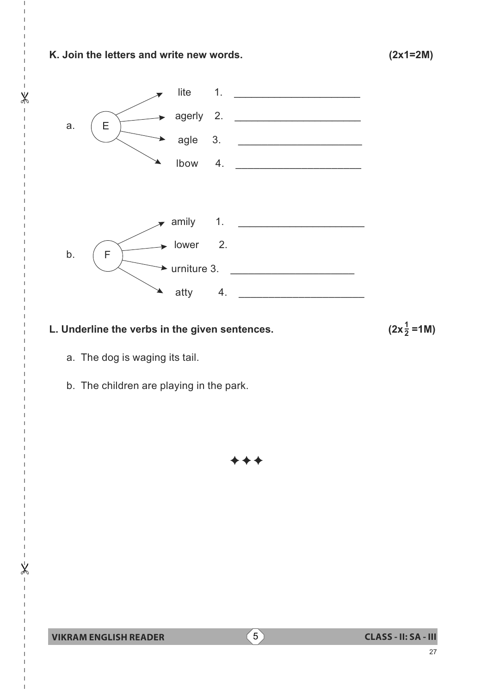#### K. Join the letters and write new words.

 $\frac{1}{2}$ 



#### $(2x\frac{1}{2}=1M)$ L. Underline the verbs in the given sentences.

- a. The dog is waging its tail.
- b. The children are playing in the park.



CLASS - II: SA - III